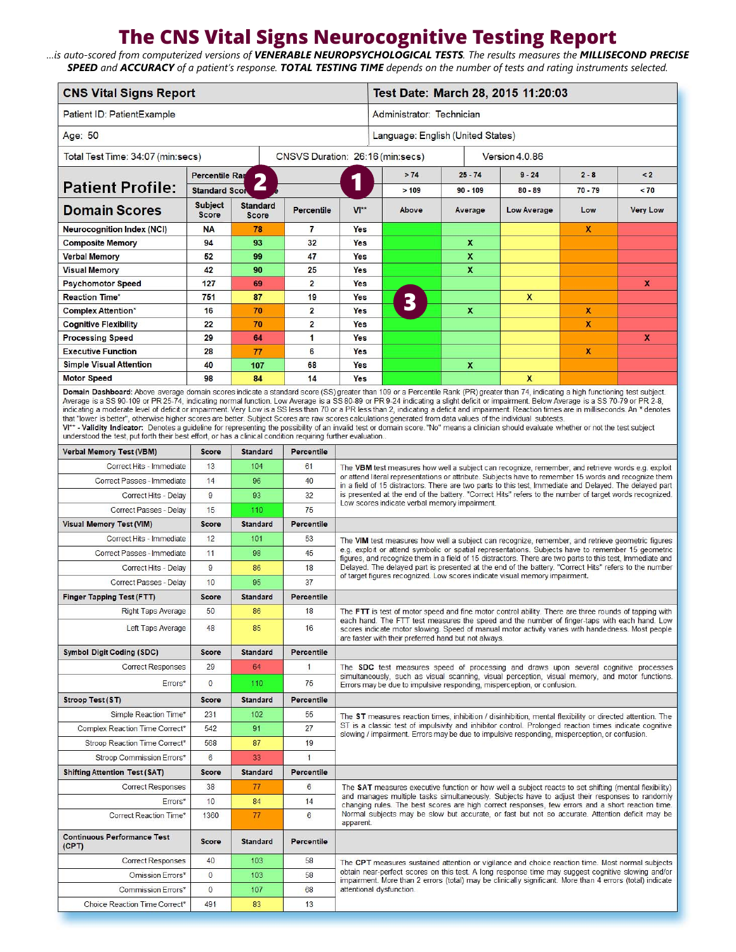## **The CNS Vital Signs Neurocognitive Testing Report**

*…is auto-scored from computerized versions of VENERABLE NEUROPSYCHOLOGICAL TESTS. The results measures the MILLISECOND PRECISE SPEED and ACCURACY of a patient's response. TOTAL TESTING TIME depends on the number of tests and rating instruments selected.* 

| <b>CNS Vital Signs Report</b>                                                                                                                                                                                                                                                                                                                                                                                                                                                                                                                                                                                                                                                                                                                                                                                                                                         |                                                   |                                 |                         |                                                                                                                                                                                                                                                                                                                                                                                                                                                                                                             | Test Date: March 28, 2015 11:20:03 |                  |  |                     |                  |                 |
|-----------------------------------------------------------------------------------------------------------------------------------------------------------------------------------------------------------------------------------------------------------------------------------------------------------------------------------------------------------------------------------------------------------------------------------------------------------------------------------------------------------------------------------------------------------------------------------------------------------------------------------------------------------------------------------------------------------------------------------------------------------------------------------------------------------------------------------------------------------------------|---------------------------------------------------|---------------------------------|-------------------------|-------------------------------------------------------------------------------------------------------------------------------------------------------------------------------------------------------------------------------------------------------------------------------------------------------------------------------------------------------------------------------------------------------------------------------------------------------------------------------------------------------------|------------------------------------|------------------|--|---------------------|------------------|-----------------|
| Patient ID: PatientExample                                                                                                                                                                                                                                                                                                                                                                                                                                                                                                                                                                                                                                                                                                                                                                                                                                            |                                                   |                                 |                         |                                                                                                                                                                                                                                                                                                                                                                                                                                                                                                             | Administrator: Technician          |                  |  |                     |                  |                 |
| Age: 50                                                                                                                                                                                                                                                                                                                                                                                                                                                                                                                                                                                                                                                                                                                                                                                                                                                               |                                                   |                                 |                         |                                                                                                                                                                                                                                                                                                                                                                                                                                                                                                             | Language: English (United States)  |                  |  |                     |                  |                 |
| CNSVS Duration: 26:16 (min:secs)<br>Total Test Time: 34:07 (min:secs)                                                                                                                                                                                                                                                                                                                                                                                                                                                                                                                                                                                                                                                                                                                                                                                                 |                                                   |                                 |                         |                                                                                                                                                                                                                                                                                                                                                                                                                                                                                                             | Version 4.0.86                     |                  |  |                     |                  |                 |
|                                                                                                                                                                                                                                                                                                                                                                                                                                                                                                                                                                                                                                                                                                                                                                                                                                                                       | <b>Percentile Ray</b><br>$\overline{\phantom{a}}$ |                                 |                         | 1                                                                                                                                                                                                                                                                                                                                                                                                                                                                                                           | >74                                | $25 - 74$        |  | $9 - 24$<br>$2 - 8$ |                  | $\leq$ 2        |
| <b>Patient Profile:</b>                                                                                                                                                                                                                                                                                                                                                                                                                                                                                                                                                                                                                                                                                                                                                                                                                                               | <b>Standard Scor</b>                              | Z,                              |                         |                                                                                                                                                                                                                                                                                                                                                                                                                                                                                                             | >109                               | $90 - 109$       |  | $80 - 89$           | $70 - 79$        | < 70            |
| <b>Domain Scores</b>                                                                                                                                                                                                                                                                                                                                                                                                                                                                                                                                                                                                                                                                                                                                                                                                                                                  | <b>Subject</b><br><b>Score</b>                    | <b>Standard</b><br><b>Score</b> | <b>Percentile</b>       | $V^*$                                                                                                                                                                                                                                                                                                                                                                                                                                                                                                       | Above                              | Average          |  | <b>Low Average</b>  | Low              | <b>Very Low</b> |
| <b>Neurocognition Index (NCI)</b>                                                                                                                                                                                                                                                                                                                                                                                                                                                                                                                                                                                                                                                                                                                                                                                                                                     | <b>NA</b>                                         | 78                              | 7                       | Yes                                                                                                                                                                                                                                                                                                                                                                                                                                                                                                         |                                    |                  |  |                     | X                |                 |
| <b>Composite Memory</b>                                                                                                                                                                                                                                                                                                                                                                                                                                                                                                                                                                                                                                                                                                                                                                                                                                               | 94                                                | 93                              | 32                      | Yes                                                                                                                                                                                                                                                                                                                                                                                                                                                                                                         |                                    | X                |  |                     |                  |                 |
| <b>Verbal Memory</b>                                                                                                                                                                                                                                                                                                                                                                                                                                                                                                                                                                                                                                                                                                                                                                                                                                                  | 52                                                | 99                              | 47                      | Yes                                                                                                                                                                                                                                                                                                                                                                                                                                                                                                         |                                    | $\boldsymbol{x}$ |  |                     |                  |                 |
| <b>Visual Memory</b>                                                                                                                                                                                                                                                                                                                                                                                                                                                                                                                                                                                                                                                                                                                                                                                                                                                  | 42                                                | 90                              | 25                      | Yes                                                                                                                                                                                                                                                                                                                                                                                                                                                                                                         |                                    | x                |  |                     |                  |                 |
| <b>Psychomotor Speed</b>                                                                                                                                                                                                                                                                                                                                                                                                                                                                                                                                                                                                                                                                                                                                                                                                                                              | 127                                               | 69                              | $\overline{2}$          | Yes                                                                                                                                                                                                                                                                                                                                                                                                                                                                                                         |                                    |                  |  |                     |                  | X               |
| <b>Reaction Time*</b>                                                                                                                                                                                                                                                                                                                                                                                                                                                                                                                                                                                                                                                                                                                                                                                                                                                 | 751                                               | 87                              | 19                      | Yes                                                                                                                                                                                                                                                                                                                                                                                                                                                                                                         | 3                                  |                  |  | X                   |                  |                 |
| <b>Complex Attention*</b>                                                                                                                                                                                                                                                                                                                                                                                                                                                                                                                                                                                                                                                                                                                                                                                                                                             | 16                                                | 70                              | $\overline{2}$          | Yes                                                                                                                                                                                                                                                                                                                                                                                                                                                                                                         |                                    | X                |  |                     | $\boldsymbol{x}$ |                 |
| <b>Cognitive Flexibility</b>                                                                                                                                                                                                                                                                                                                                                                                                                                                                                                                                                                                                                                                                                                                                                                                                                                          | 22                                                | 70                              | $\overline{\mathbf{2}}$ | Yes                                                                                                                                                                                                                                                                                                                                                                                                                                                                                                         |                                    |                  |  |                     | X                |                 |
| <b>Processing Speed</b><br><b>Executive Function</b>                                                                                                                                                                                                                                                                                                                                                                                                                                                                                                                                                                                                                                                                                                                                                                                                                  | 29<br>28                                          | 64                              | 1<br>6                  | Yes<br>Yes                                                                                                                                                                                                                                                                                                                                                                                                                                                                                                  |                                    |                  |  |                     | X                | X               |
| <b>Simple Visual Attention</b>                                                                                                                                                                                                                                                                                                                                                                                                                                                                                                                                                                                                                                                                                                                                                                                                                                        | 40                                                | 77                              | 68                      | Yes                                                                                                                                                                                                                                                                                                                                                                                                                                                                                                         |                                    |                  |  |                     |                  |                 |
| <b>Motor Speed</b>                                                                                                                                                                                                                                                                                                                                                                                                                                                                                                                                                                                                                                                                                                                                                                                                                                                    | 98                                                | 107<br>84                       | 14                      | <b>Yes</b>                                                                                                                                                                                                                                                                                                                                                                                                                                                                                                  |                                    | X                |  | $\mathbf{x}$        |                  |                 |
| Domain Dashboard: Above average domain scores indicate a standard score (SS) greater than 109 or a Percentile Rank (PR) greater than 74, indicating a high functioning test subject.                                                                                                                                                                                                                                                                                                                                                                                                                                                                                                                                                                                                                                                                                  |                                                   |                                 |                         |                                                                                                                                                                                                                                                                                                                                                                                                                                                                                                             |                                    |                  |  |                     |                  |                 |
| Average is a SS 90-109 or PR 25-74, indicating normal function. Low Average is a SS 80-89 or PR 9-24 indicating a slight deficit or impairment. Below Average is a SS 70-79 or PR 2-8,<br>indicating a moderate level of deficit or impairment. Very Low is a SS less than 70 or a PR less than 2, indicating a deficit and impairment. Reaction times are in milliseconds. An * denotes<br>that "lower is better", otherwise higher scores are better. Subject Scores are raw scores calculations generated from data values of the individual subtests.<br>V1** - Validity Indicator: Denotes a quideline for representing the possibility of an invalid test or domain score. "No" means a clinician should evaluate whether or not the test subject<br>understood the test, put forth their best effort, or has a clinical condition requiring further evaluation |                                                   |                                 |                         |                                                                                                                                                                                                                                                                                                                                                                                                                                                                                                             |                                    |                  |  |                     |                  |                 |
| <b>Verbal Memory Test (VBM)</b>                                                                                                                                                                                                                                                                                                                                                                                                                                                                                                                                                                                                                                                                                                                                                                                                                                       | <b>Score</b>                                      | <b>Standard</b>                 | <b>Percentile</b>       |                                                                                                                                                                                                                                                                                                                                                                                                                                                                                                             |                                    |                  |  |                     |                  |                 |
| Correct Hits - Immediate                                                                                                                                                                                                                                                                                                                                                                                                                                                                                                                                                                                                                                                                                                                                                                                                                                              | 13                                                | 104                             | 61                      | The VBM test measures how well a subject can recognize, remember, and retrieve words e.g. exploit<br>or attend literal representations or attribute. Subjects have to remember 15 words and recognize them<br>in a field of 15 distractors. There are two parts to this test, Immediate and Delayed. The delayed part<br>is presented at the end of the battery. "Correct Hits" refers to the number of target words recognized.<br>Low scores indicate verbal memory impairment.                           |                                    |                  |  |                     |                  |                 |
| Correct Passes - Immediate                                                                                                                                                                                                                                                                                                                                                                                                                                                                                                                                                                                                                                                                                                                                                                                                                                            | 14                                                | 96                              | 40                      |                                                                                                                                                                                                                                                                                                                                                                                                                                                                                                             |                                    |                  |  |                     |                  |                 |
| Correct Hits - Delay                                                                                                                                                                                                                                                                                                                                                                                                                                                                                                                                                                                                                                                                                                                                                                                                                                                  | 9                                                 | 93                              | 32                      |                                                                                                                                                                                                                                                                                                                                                                                                                                                                                                             |                                    |                  |  |                     |                  |                 |
| Correct Passes - Delay                                                                                                                                                                                                                                                                                                                                                                                                                                                                                                                                                                                                                                                                                                                                                                                                                                                | 15                                                | 110                             | 75                      |                                                                                                                                                                                                                                                                                                                                                                                                                                                                                                             |                                    |                  |  |                     |                  |                 |
| <b>Visual Memory Test (VIM)</b>                                                                                                                                                                                                                                                                                                                                                                                                                                                                                                                                                                                                                                                                                                                                                                                                                                       | <b>Score</b>                                      | <b>Standard</b>                 | Percentile              |                                                                                                                                                                                                                                                                                                                                                                                                                                                                                                             |                                    |                  |  |                     |                  |                 |
| Correct Hits - Immediate                                                                                                                                                                                                                                                                                                                                                                                                                                                                                                                                                                                                                                                                                                                                                                                                                                              | 12                                                | 101                             | 53                      | The VIM test measures how well a subject can recognize, remember, and retrieve geometric figures<br>e.g. exploit or attend symbolic or spatial representations. Subjects have to remember 15 geometric<br>figures, and recognize them in a field of 15 distractors. There are two parts to this test, Immediate and<br>Delayed. The delayed part is presented at the end of the battery. "Correct Hits" refers to the number<br>of target figures recognized. Low scores indicate visual memory impairment. |                                    |                  |  |                     |                  |                 |
| Correct Passes - Immediate                                                                                                                                                                                                                                                                                                                                                                                                                                                                                                                                                                                                                                                                                                                                                                                                                                            | 11                                                | 98                              | 45                      |                                                                                                                                                                                                                                                                                                                                                                                                                                                                                                             |                                    |                  |  |                     |                  |                 |
| Correct Hits - Delay                                                                                                                                                                                                                                                                                                                                                                                                                                                                                                                                                                                                                                                                                                                                                                                                                                                  | 9                                                 | 86                              | 18                      |                                                                                                                                                                                                                                                                                                                                                                                                                                                                                                             |                                    |                  |  |                     |                  |                 |
| Correct Passes - Delay                                                                                                                                                                                                                                                                                                                                                                                                                                                                                                                                                                                                                                                                                                                                                                                                                                                | 10                                                | 95                              | 37                      |                                                                                                                                                                                                                                                                                                                                                                                                                                                                                                             |                                    |                  |  |                     |                  |                 |
| <b>Finger Tapping Test (FTT)</b>                                                                                                                                                                                                                                                                                                                                                                                                                                                                                                                                                                                                                                                                                                                                                                                                                                      | <b>Score</b>                                      | <b>Standard</b>                 | <b>Percentile</b>       |                                                                                                                                                                                                                                                                                                                                                                                                                                                                                                             |                                    |                  |  |                     |                  |                 |
| <b>Right Taps Average</b>                                                                                                                                                                                                                                                                                                                                                                                                                                                                                                                                                                                                                                                                                                                                                                                                                                             | 50                                                | 86                              | 18                      | The FTT is test of motor speed and fine motor control ability. There are three rounds of tapping with                                                                                                                                                                                                                                                                                                                                                                                                       |                                    |                  |  |                     |                  |                 |
| Left Taps Average                                                                                                                                                                                                                                                                                                                                                                                                                                                                                                                                                                                                                                                                                                                                                                                                                                                     | 48                                                | 85                              | 16                      | each hand. The FTT test measures the speed and the number of finger-taps with each hand. Low<br>scores indicate motor slowing. Speed of manual motor activity varies with handedness. Most people<br>are faster with their preferred hand but not always.                                                                                                                                                                                                                                                   |                                    |                  |  |                     |                  |                 |
| <b>Symbol Digit Coding (SDC)</b>                                                                                                                                                                                                                                                                                                                                                                                                                                                                                                                                                                                                                                                                                                                                                                                                                                      | <b>Score</b>                                      | <b>Standard</b>                 | <b>Percentile</b>       |                                                                                                                                                                                                                                                                                                                                                                                                                                                                                                             |                                    |                  |  |                     |                  |                 |
| <b>Correct Responses</b>                                                                                                                                                                                                                                                                                                                                                                                                                                                                                                                                                                                                                                                                                                                                                                                                                                              | 29                                                | 64                              | $\mathbf{1}$            | The SDC test measures speed of processing and draws upon several cognitive processes<br>simultaneously, such as visual scanning, visual perception, visual memory, and motor functions.<br>Errors may be due to impulsive responding, misperception, or confusion.                                                                                                                                                                                                                                          |                                    |                  |  |                     |                  |                 |
| Errors*                                                                                                                                                                                                                                                                                                                                                                                                                                                                                                                                                                                                                                                                                                                                                                                                                                                               | $\bf{0}$                                          | 110                             | 75                      |                                                                                                                                                                                                                                                                                                                                                                                                                                                                                                             |                                    |                  |  |                     |                  |                 |
|                                                                                                                                                                                                                                                                                                                                                                                                                                                                                                                                                                                                                                                                                                                                                                                                                                                                       |                                                   | <b>Standard</b>                 | Percentile              |                                                                                                                                                                                                                                                                                                                                                                                                                                                                                                             |                                    |                  |  |                     |                  |                 |
| <b>Stroop Test (ST)</b>                                                                                                                                                                                                                                                                                                                                                                                                                                                                                                                                                                                                                                                                                                                                                                                                                                               | <b>Score</b>                                      |                                 |                         |                                                                                                                                                                                                                                                                                                                                                                                                                                                                                                             |                                    |                  |  |                     |                  |                 |
| Simple Reaction Time*                                                                                                                                                                                                                                                                                                                                                                                                                                                                                                                                                                                                                                                                                                                                                                                                                                                 | 231                                               | 102                             | 55                      | The ST measures reaction times, inhibition / disinhibition, mental flexibility or directed attention. The<br>ST is a classic test of impulsivity and inhibitor control. Prolonged reaction times indicate cognitive<br>slowing / impairment. Errors may be due to impulsive responding, misperception, or confusion.                                                                                                                                                                                        |                                    |                  |  |                     |                  |                 |
| Complex Reaction Time Correct*                                                                                                                                                                                                                                                                                                                                                                                                                                                                                                                                                                                                                                                                                                                                                                                                                                        | 542                                               | 91                              | 27                      |                                                                                                                                                                                                                                                                                                                                                                                                                                                                                                             |                                    |                  |  |                     |                  |                 |
| Stroop Reaction Time Correct*                                                                                                                                                                                                                                                                                                                                                                                                                                                                                                                                                                                                                                                                                                                                                                                                                                         | 568                                               | 87                              | 19                      |                                                                                                                                                                                                                                                                                                                                                                                                                                                                                                             |                                    |                  |  |                     |                  |                 |
| Stroop Commission Errors*                                                                                                                                                                                                                                                                                                                                                                                                                                                                                                                                                                                                                                                                                                                                                                                                                                             | $6\phantom{a}$                                    | 33                              | 1                       |                                                                                                                                                                                                                                                                                                                                                                                                                                                                                                             |                                    |                  |  |                     |                  |                 |
| <b>Shifting Attention Test (SAT)</b>                                                                                                                                                                                                                                                                                                                                                                                                                                                                                                                                                                                                                                                                                                                                                                                                                                  | <b>Score</b>                                      | <b>Standard</b>                 | <b>Percentile</b>       |                                                                                                                                                                                                                                                                                                                                                                                                                                                                                                             |                                    |                  |  |                     |                  |                 |
| Correct Responses                                                                                                                                                                                                                                                                                                                                                                                                                                                                                                                                                                                                                                                                                                                                                                                                                                                     | 38                                                | 77                              | 6                       | The SAT measures executive function or how well a subject reacts to set shifting (mental flexibility)<br>and manages multiple tasks simultaneously. Subjects have to adjust their responses to randomly<br>changing rules. The best scores are high correct responses, few errors and a short reaction time.<br>Normal subjects may be slow but accurate, or fast but not so accurate. Attention deficit may be<br>apparent.                                                                                |                                    |                  |  |                     |                  |                 |
| Errors*                                                                                                                                                                                                                                                                                                                                                                                                                                                                                                                                                                                                                                                                                                                                                                                                                                                               | 10                                                | 84                              | 14                      |                                                                                                                                                                                                                                                                                                                                                                                                                                                                                                             |                                    |                  |  |                     |                  |                 |
| <b>Correct Reaction Time*</b>                                                                                                                                                                                                                                                                                                                                                                                                                                                                                                                                                                                                                                                                                                                                                                                                                                         | 1360                                              | 77                              | 6                       |                                                                                                                                                                                                                                                                                                                                                                                                                                                                                                             |                                    |                  |  |                     |                  |                 |
| <b>Continuous Performance Test</b><br>(CPT)                                                                                                                                                                                                                                                                                                                                                                                                                                                                                                                                                                                                                                                                                                                                                                                                                           | <b>Score</b>                                      | <b>Standard</b>                 | Percentile              |                                                                                                                                                                                                                                                                                                                                                                                                                                                                                                             |                                    |                  |  |                     |                  |                 |
| <b>Correct Responses</b>                                                                                                                                                                                                                                                                                                                                                                                                                                                                                                                                                                                                                                                                                                                                                                                                                                              | 40                                                | 103                             | 58                      | The CPT measures sustained attention or vigilance and choice reaction time. Most normal subjects<br>obtain near-perfect scores on this test. A long response time may suggest cognitive slowing and/or<br>impairment. More than 2 errors (total) may be clinically significant. More than 4 errors (total) indicate<br>attentional dysfunction.                                                                                                                                                             |                                    |                  |  |                     |                  |                 |
| Omission Errors*                                                                                                                                                                                                                                                                                                                                                                                                                                                                                                                                                                                                                                                                                                                                                                                                                                                      | $\mathbf{0}$                                      | 103                             | 58                      |                                                                                                                                                                                                                                                                                                                                                                                                                                                                                                             |                                    |                  |  |                     |                  |                 |
| <b>Commission Errors*</b>                                                                                                                                                                                                                                                                                                                                                                                                                                                                                                                                                                                                                                                                                                                                                                                                                                             | $\bf{0}$                                          | 107                             | 68                      |                                                                                                                                                                                                                                                                                                                                                                                                                                                                                                             |                                    |                  |  |                     |                  |                 |
| Choice Reaction Time Correct*                                                                                                                                                                                                                                                                                                                                                                                                                                                                                                                                                                                                                                                                                                                                                                                                                                         | 491                                               | 83                              | 13                      |                                                                                                                                                                                                                                                                                                                                                                                                                                                                                                             |                                    |                  |  |                     |                  |                 |